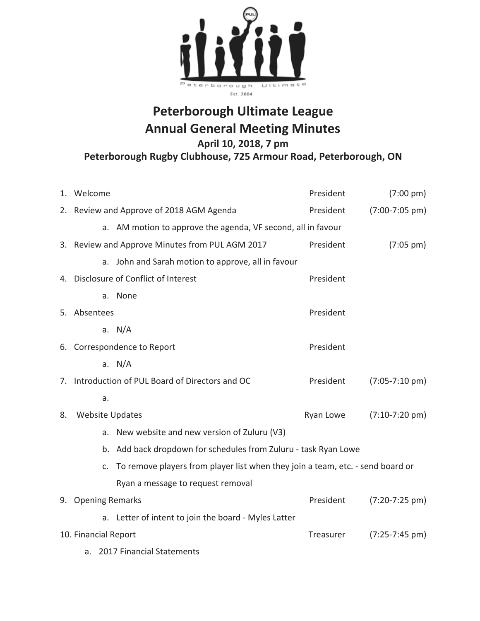

## **Peterborough Ultimate League Annual General Meeting Minutes**

**April 10, 2018, 7 pm**

**Peterborough Rugby Clubhouse, 725 Armour Road, Peterborough, ON**

|                                   | 1. Welcome                                                                                  |                                                                                | President | $(7:00 \text{ pm})$      |  |  |
|-----------------------------------|---------------------------------------------------------------------------------------------|--------------------------------------------------------------------------------|-----------|--------------------------|--|--|
|                                   |                                                                                             | 2. Review and Approve of 2018 AGM Agenda                                       | President | $(7:00-7:05 \text{ pm})$ |  |  |
|                                   |                                                                                             | a. AM motion to approve the agenda, VF second, all in favour                   |           |                          |  |  |
|                                   |                                                                                             | 3. Review and Approve Minutes from PUL AGM 2017                                | President | $(7:05 \text{ pm})$      |  |  |
|                                   |                                                                                             | a. John and Sarah motion to approve, all in favour                             |           |                          |  |  |
|                                   |                                                                                             | 4. Disclosure of Conflict of Interest                                          | President |                          |  |  |
|                                   |                                                                                             | a. None                                                                        |           |                          |  |  |
|                                   | 5. Absentees<br>President                                                                   |                                                                                |           |                          |  |  |
|                                   |                                                                                             | a. $N/A$                                                                       |           |                          |  |  |
|                                   | President<br>6. Correspondence to Report                                                    |                                                                                |           |                          |  |  |
|                                   |                                                                                             | a. $N/A$                                                                       |           |                          |  |  |
|                                   | 7. Introduction of PUL Board of Directors and OC<br>President<br>$(7:05 - 7:10 \text{ pm})$ |                                                                                |           |                          |  |  |
|                                   | a.                                                                                          |                                                                                |           |                          |  |  |
| 8.                                | <b>Website Updates</b><br>Ryan Lowe                                                         |                                                                                |           | $(7:10-7:20 \text{ pm})$ |  |  |
|                                   | a.                                                                                          | New website and new version of Zuluru (V3)                                     |           |                          |  |  |
|                                   | b. Add back dropdown for schedules from Zuluru - task Ryan Lowe                             |                                                                                |           |                          |  |  |
|                                   | $C_{\star}$                                                                                 | To remove players from player list when they join a team, etc. - send board or |           |                          |  |  |
|                                   |                                                                                             | Ryan a message to request removal                                              |           |                          |  |  |
|                                   | 9. Opening Remarks                                                                          |                                                                                | President | $(7:20-7:25 \text{ pm})$ |  |  |
|                                   |                                                                                             | a. Letter of intent to join the board - Myles Latter                           |           |                          |  |  |
| 10. Financial Report<br>Treasurer |                                                                                             |                                                                                |           | $(7:25-7:45 \text{ pm})$ |  |  |
|                                   | 2017 Financial Statements<br>a.                                                             |                                                                                |           |                          |  |  |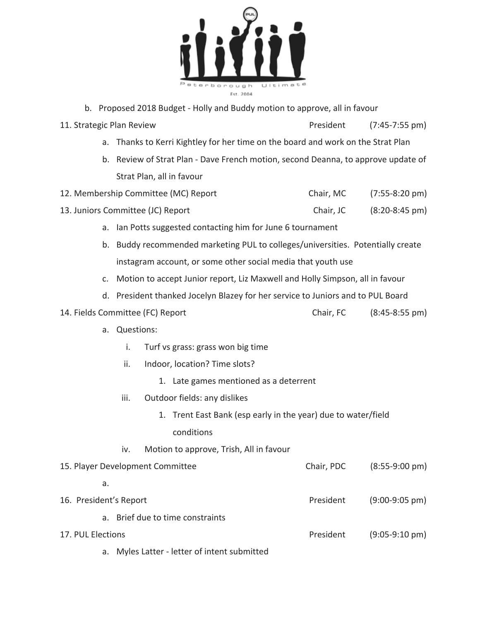

- b. Proposed 2018 Budget Holly and Buddy motion to approve, all in favour
- 11. Strategic Plan Review **President** (7:45-7:55 pm)
	- a. Thanks to Kerri Kightley for her time on the board and work on the Strat Plan
	- b. Review of Strat Plan Dave French motion, second Deanna, to approve update of Strat Plan, all in favour
- 12. Membership Committee (MC) Report Chair, MC (7:55-8:20 pm)
- 13. Juniors Committee (JC) Report Chair, JC (8:20-8:45 pm)
	- a. Ian Potts suggested contacting him for June 6 tournament
	- b. Buddy recommended marketing PUL to colleges/universities. Potentially create instagram account, or some other social media that youth use
	- c. Motion to accept Junior report, Liz Maxwell and Holly Simpson, all in favour
	- d. President thanked Jocelyn Blazey for her service to Juniors and to PUL Board
- 14. Fields Committee (FC) Report Chair, FC (8:45-8:55 pm)
	- a. Questions:
		- i. Turf vs grass: grass won big time
		- ii. Indoor, location? Time slots?
			- 1. Late games mentioned as a deterrent
		- iii. Outdoor fields: any dislikes
			- 1. Trent East Bank (esp early in the year) due to water/field conditions
	- iv. Motion to approve, Trish, All in favour

| 15. Player Development Committee | Chair, PDC | $(8:55-9:00 \text{ pm})$ |
|----------------------------------|------------|--------------------------|
| а.                               |            |                          |
| 16. President's Report           | President  | $(9:00-9:05 \text{ pm})$ |
| a. Brief due to time constraints |            |                          |
| 17. PUL Elections                | President  | $(9:05-9:10 \text{ pm})$ |
|                                  |            |                          |

a. Myles Latter - letter of intent submitted